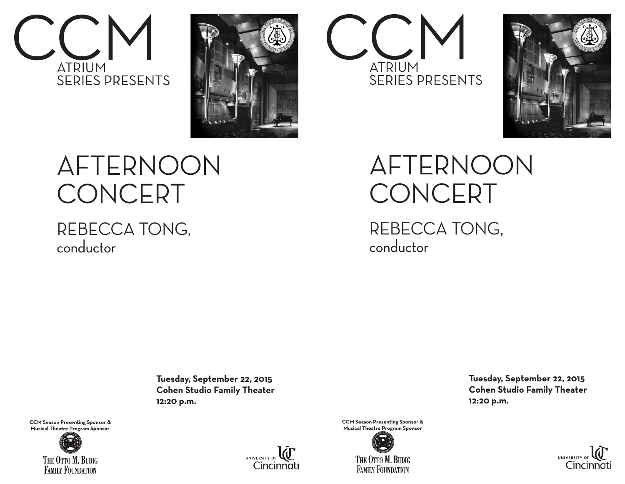



## AFTERNOON CONCERT

## REBECCA TONG, conductor

 **Tuesday, September 22, 2015 Cohen Studio Family Theater 12:20 p.m.**



**CCM Season Presenting Sponsor & Musical Theatre Program Sponsor**